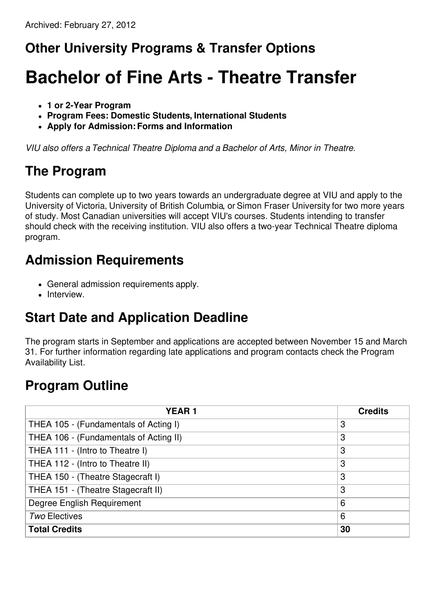## **Other University Programs & Transfer Options**

# **Bachelor of Fine Arts - Theatre Transfer**

- **1 or 2-Year Program**
- **Program Fees: Domestic Students, International Students**
- **Apply for Admission:Forms and Information**

*VIU also offers a Technical Theatre Diploma and a Bachelor of Arts, Minor in Theatre.*

## **The Program**

Students can complete up to two years towards an undergraduate degree at VIU and apply to the University of Victoria, University of British Columbia, or Simon Fraser University for two more years of study. Most Canadian universities will accept VIU's courses. Students intending to transfer should check with the receiving institution. VIU also offers a two-year Technical Theatre diploma program.

#### **Admission Requirements**

- General admission requirements apply.
- Interview.

## **Start Date and Application Deadline**

The program starts in September and applications are accepted between November 15 and March 31. For further information regarding late applications and program contacts check the Program Availability List.

## **Program Outline**

| <b>YEAR1</b>                           | <b>Credits</b> |
|----------------------------------------|----------------|
| THEA 105 - (Fundamentals of Acting I)  | 3              |
| THEA 106 - (Fundamentals of Acting II) | 3              |
| THEA 111 - (Intro to Theatre I)        | 3              |
| THEA 112 - (Intro to Theatre II)       | 3              |
| THEA 150 - (Theatre Stagecraft I)      | 3              |
| THEA 151 - (Theatre Stagecraft II)     | 3              |
| Degree English Requirement             | 6              |
| <b>Two Electives</b>                   | 6              |
| <b>Total Credits</b>                   | 30             |